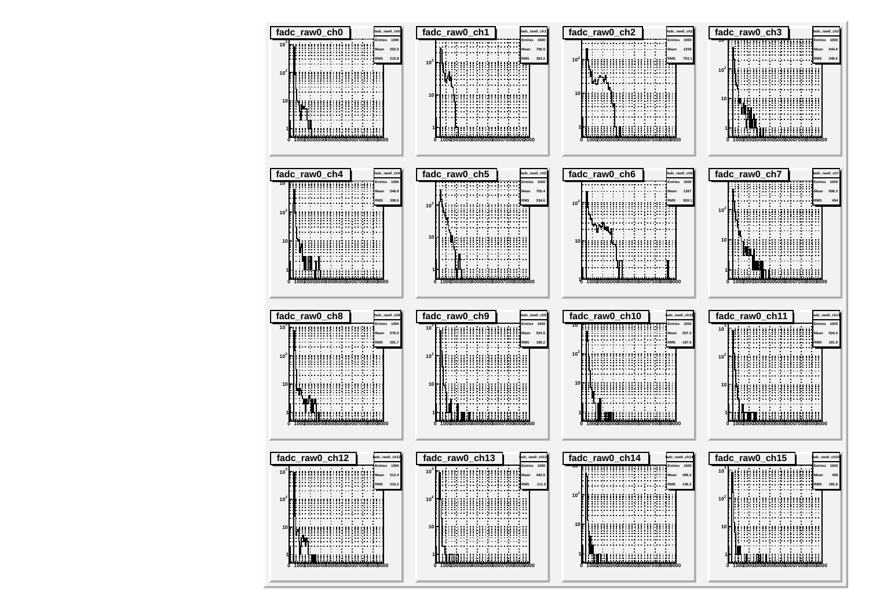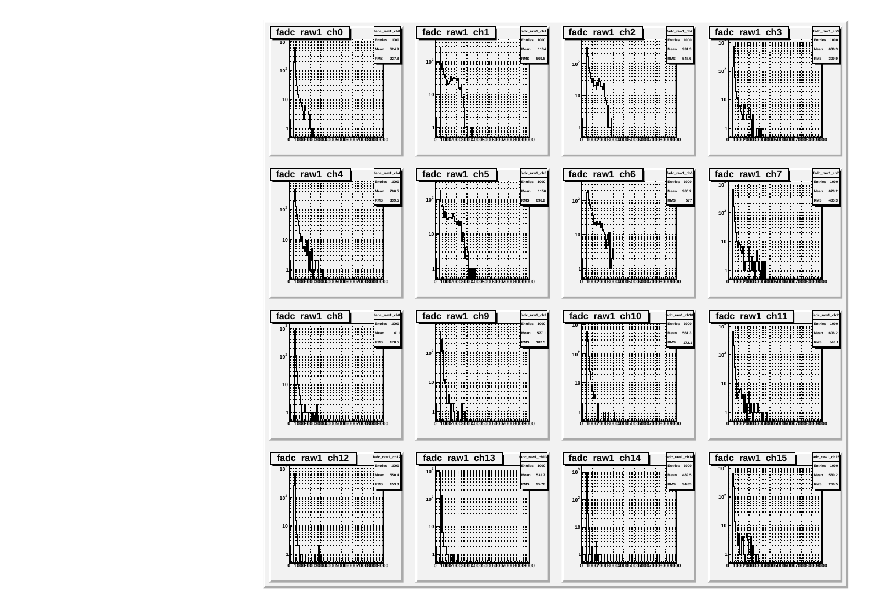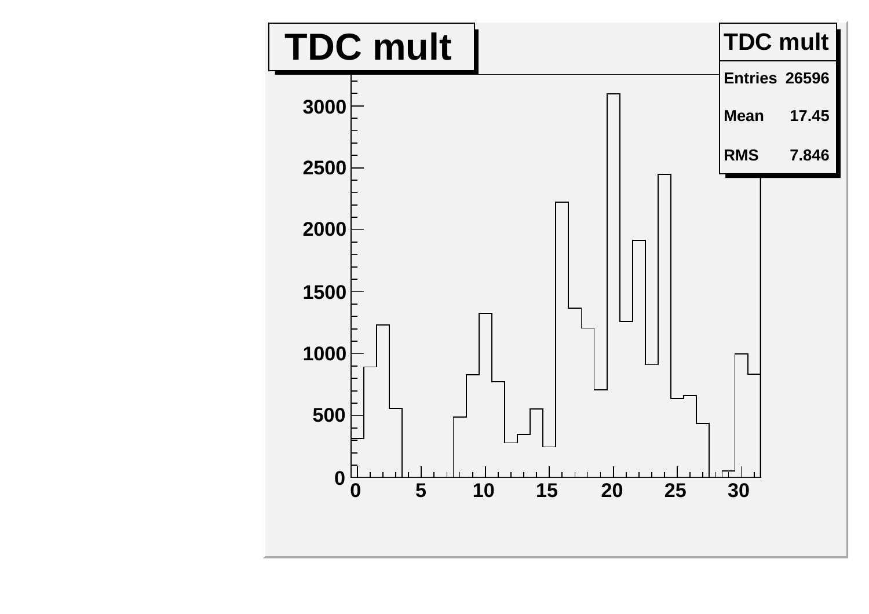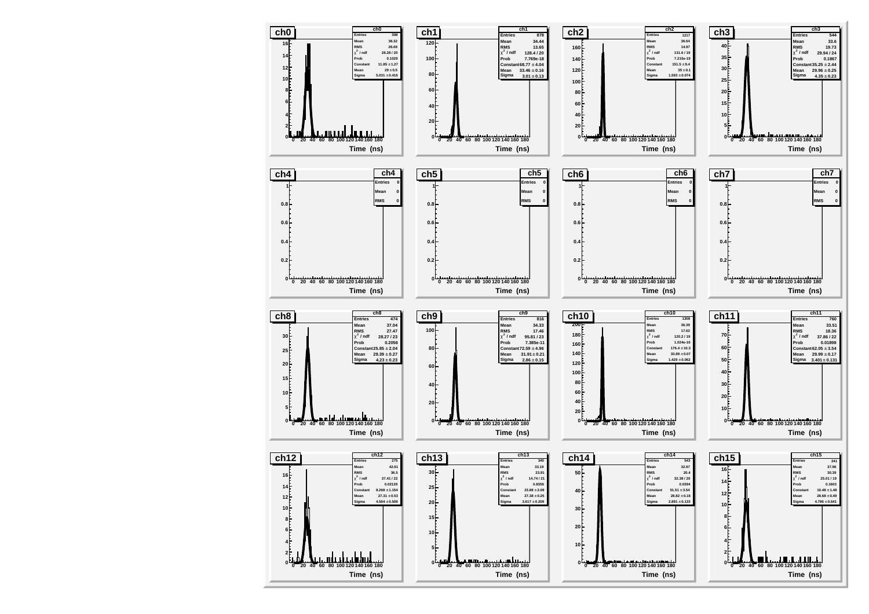